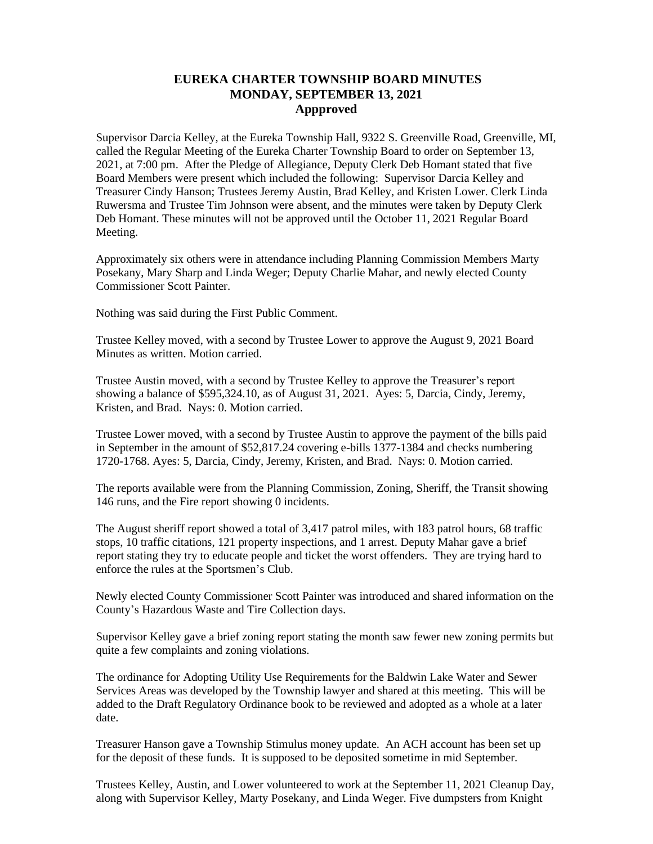## **EUREKA CHARTER TOWNSHIP BOARD MINUTES MONDAY, SEPTEMBER 13, 2021 Appproved**

Supervisor Darcia Kelley, at the Eureka Township Hall, 9322 S. Greenville Road, Greenville, MI, called the Regular Meeting of the Eureka Charter Township Board to order on September 13, 2021, at 7:00 pm. After the Pledge of Allegiance, Deputy Clerk Deb Homant stated that five Board Members were present which included the following: Supervisor Darcia Kelley and Treasurer Cindy Hanson; Trustees Jeremy Austin, Brad Kelley, and Kristen Lower. Clerk Linda Ruwersma and Trustee Tim Johnson were absent, and the minutes were taken by Deputy Clerk Deb Homant. These minutes will not be approved until the October 11, 2021 Regular Board Meeting.

Approximately six others were in attendance including Planning Commission Members Marty Posekany, Mary Sharp and Linda Weger; Deputy Charlie Mahar, and newly elected County Commissioner Scott Painter.

Nothing was said during the First Public Comment.

Trustee Kelley moved, with a second by Trustee Lower to approve the August 9, 2021 Board Minutes as written. Motion carried.

Trustee Austin moved, with a second by Trustee Kelley to approve the Treasurer's report showing a balance of \$595,324.10, as of August 31, 2021. Ayes: 5, Darcia, Cindy, Jeremy, Kristen, and Brad. Nays: 0. Motion carried.

Trustee Lower moved, with a second by Trustee Austin to approve the payment of the bills paid in September in the amount of \$52,817.24 covering e-bills 1377-1384 and checks numbering 1720-1768. Ayes: 5, Darcia, Cindy, Jeremy, Kristen, and Brad. Nays: 0. Motion carried.

The reports available were from the Planning Commission, Zoning, Sheriff, the Transit showing 146 runs, and the Fire report showing 0 incidents.

The August sheriff report showed a total of 3,417 patrol miles, with 183 patrol hours, 68 traffic stops, 10 traffic citations, 121 property inspections, and 1 arrest. Deputy Mahar gave a brief report stating they try to educate people and ticket the worst offenders. They are trying hard to enforce the rules at the Sportsmen's Club.

Newly elected County Commissioner Scott Painter was introduced and shared information on the County's Hazardous Waste and Tire Collection days.

Supervisor Kelley gave a brief zoning report stating the month saw fewer new zoning permits but quite a few complaints and zoning violations.

The ordinance for Adopting Utility Use Requirements for the Baldwin Lake Water and Sewer Services Areas was developed by the Township lawyer and shared at this meeting. This will be added to the Draft Regulatory Ordinance book to be reviewed and adopted as a whole at a later date.

Treasurer Hanson gave a Township Stimulus money update. An ACH account has been set up for the deposit of these funds. It is supposed to be deposited sometime in mid September.

Trustees Kelley, Austin, and Lower volunteered to work at the September 11, 2021 Cleanup Day, along with Supervisor Kelley, Marty Posekany, and Linda Weger. Five dumpsters from Knight